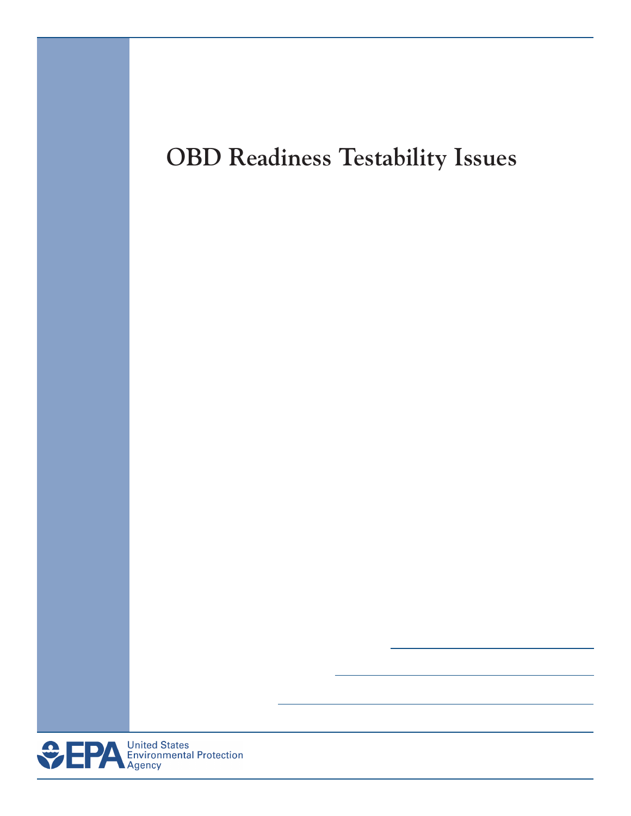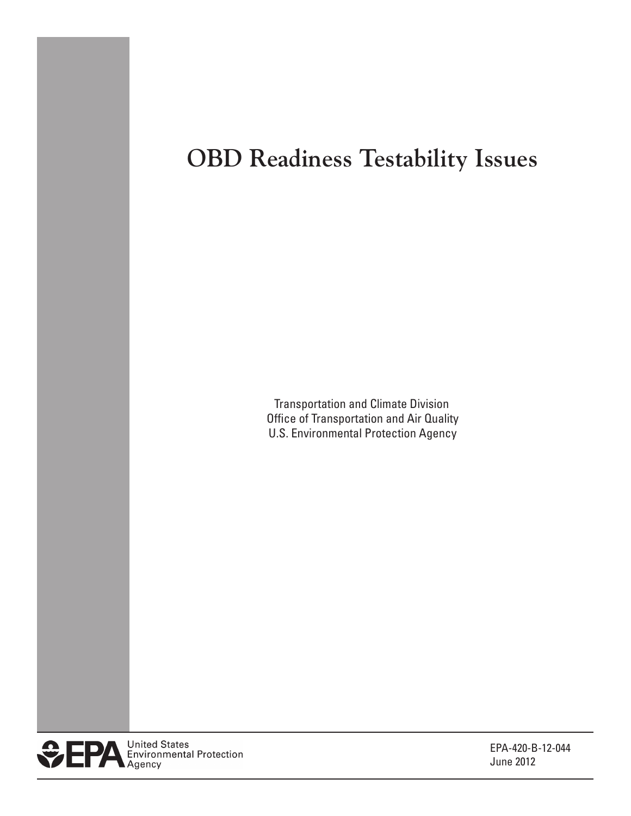## **OBD Readiness Testability Issues**

 Transportation and Climate Division Office of Transportation and Air Quality U.S. Environmental Protection Agency



EPA-420-B-12-044 June 2012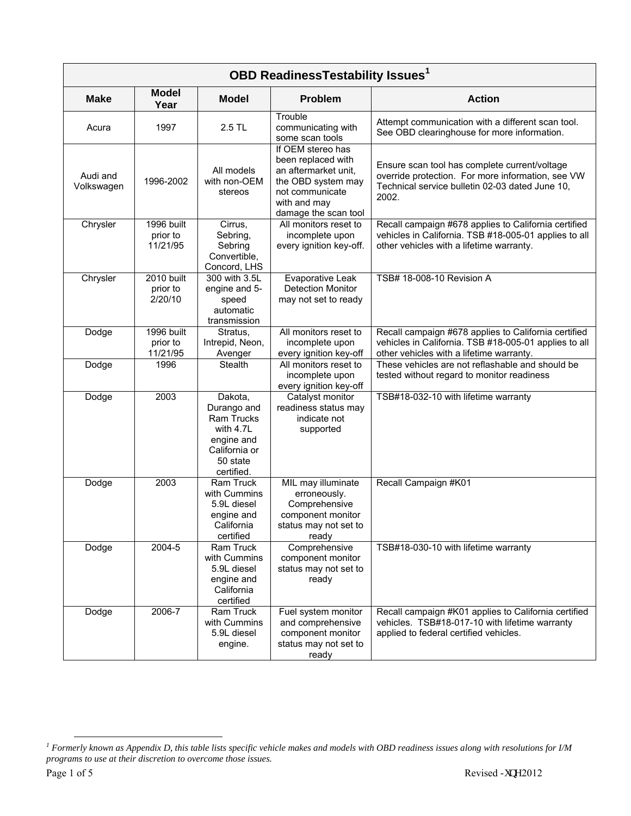| <b>OBD ReadinessTestability Issues1</b> |                                    |                                                                                                                   |                                                                                                                                                  |                                                                                                                                                                |  |  |
|-----------------------------------------|------------------------------------|-------------------------------------------------------------------------------------------------------------------|--------------------------------------------------------------------------------------------------------------------------------------------------|----------------------------------------------------------------------------------------------------------------------------------------------------------------|--|--|
| <b>Make</b>                             | <b>Model</b><br>Year               | <b>Model</b>                                                                                                      | Problem                                                                                                                                          | <b>Action</b>                                                                                                                                                  |  |  |
| Acura                                   | 1997                               | 2.5 TL                                                                                                            | Trouble<br>communicating with<br>some scan tools                                                                                                 | Attempt communication with a different scan tool.<br>See OBD clearinghouse for more information.                                                               |  |  |
| Audi and<br>Volkswagen                  | 1996-2002                          | All models<br>with non-OEM<br>stereos                                                                             | If OEM stereo has<br>been replaced with<br>an aftermarket unit,<br>the OBD system may<br>not communicate<br>with and may<br>damage the scan tool | Ensure scan tool has complete current/voltage<br>override protection. For more information, see VW<br>Technical service bulletin 02-03 dated June 10,<br>2002. |  |  |
| Chrysler                                | 1996 built<br>prior to<br>11/21/95 | Cirrus,<br>Sebring,<br>Sebring<br>Convertible,<br>Concord, LHS                                                    | All monitors reset to<br>incomplete upon<br>every ignition key-off.                                                                              | Recall campaign #678 applies to California certified<br>vehicles in California. TSB #18-005-01 applies to all<br>other vehicles with a lifetime warranty.      |  |  |
| Chrysler                                | 2010 built<br>prior to<br>2/20/10  | 300 with 3.5L<br>engine and 5-<br>speed<br>automatic<br>transmission                                              | Evaporative Leak<br><b>Detection Monitor</b><br>may not set to ready                                                                             | TSB# 18-008-10 Revision A                                                                                                                                      |  |  |
| Dodge                                   | 1996 built<br>prior to<br>11/21/95 | Stratus,<br>Intrepid, Neon,<br>Avenger                                                                            | All monitors reset to<br>incomplete upon<br>every ignition key-off                                                                               | Recall campaign #678 applies to California certified<br>vehicles in California. TSB #18-005-01 applies to all<br>other vehicles with a lifetime warranty.      |  |  |
| Dodge                                   | 1996                               | <b>Stealth</b>                                                                                                    | All monitors reset to<br>incomplete upon<br>every ignition key-off                                                                               | These vehicles are not reflashable and should be<br>tested without regard to monitor readiness                                                                 |  |  |
| Dodge                                   | 2003                               | Dakota,<br>Durango and<br><b>Ram Trucks</b><br>with 4.7L<br>engine and<br>California or<br>50 state<br>certified. | Catalyst monitor<br>readiness status may<br>indicate not<br>supported                                                                            | TSB#18-032-10 with lifetime warranty                                                                                                                           |  |  |
| Dodge                                   | 2003                               | Ram Truck<br>with Cummins<br>5.9L diesel<br>engine and<br>California<br>certified                                 | MIL may illuminate<br>erroneously.<br>Comprehensive<br>component monitor<br>status may not set to<br>ready                                       | Recall Campaign #K01                                                                                                                                           |  |  |
| Dodge                                   | 2004-5                             | Ram Truck<br>with Cummins<br>5.9L diesel<br>engine and<br>California<br>certified                                 | Comprehensive<br>component monitor<br>status may not set to<br>ready                                                                             | TSB#18-030-10 with lifetime warranty                                                                                                                           |  |  |
| Dodge                                   | 2006-7                             | Ram Truck<br>with Cummins<br>5.9L diesel<br>engine.                                                               | Fuel system monitor<br>and comprehensive<br>component monitor<br>status may not set to<br>ready                                                  | Recall campaign #K01 applies to California certified<br>vehicles. TSB#18-017-10 with lifetime warranty<br>applied to federal certified vehicles.               |  |  |

 *1 Formerly known as Appendix D, this table lists specific vehicle makes and models with OBD readiness issues along with resolutions for I/M programs to use at their discretion to overcome those issues.*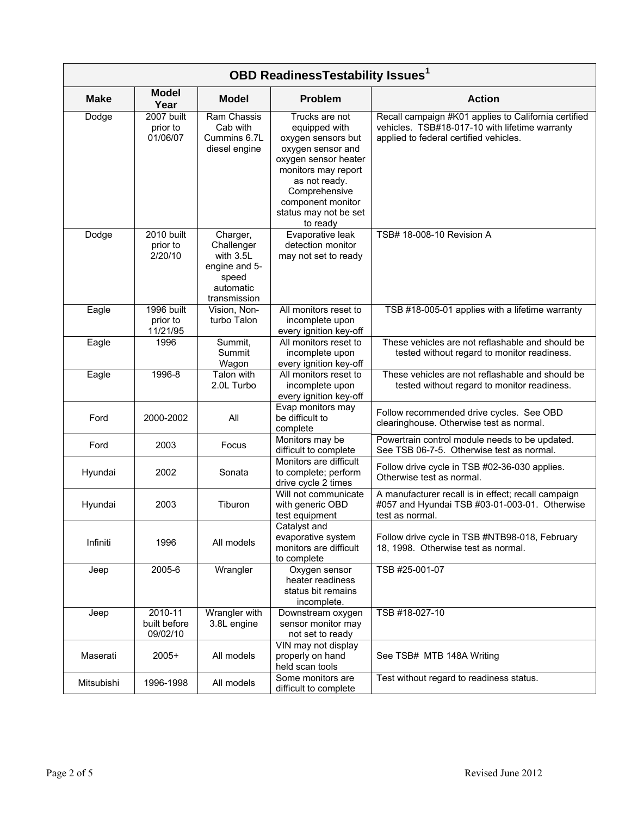| <b>OBD ReadinessTestability Issues1</b> |                                     |                                                                                            |                                                                                                                                                                                                                       |                                                                                                                                                  |  |
|-----------------------------------------|-------------------------------------|--------------------------------------------------------------------------------------------|-----------------------------------------------------------------------------------------------------------------------------------------------------------------------------------------------------------------------|--------------------------------------------------------------------------------------------------------------------------------------------------|--|
| <b>Make</b>                             | <b>Model</b><br>Year                | <b>Model</b>                                                                               | Problem                                                                                                                                                                                                               | <b>Action</b>                                                                                                                                    |  |
| Dodge                                   | 2007 built<br>prior to<br>01/06/07  | Ram Chassis<br>Cab with<br>Cummins 6.7L<br>diesel engine                                   | Trucks are not<br>equipped with<br>oxygen sensors but<br>oxygen sensor and<br>oxygen sensor heater<br>monitors may report<br>as not ready.<br>Comprehensive<br>component monitor<br>status may not be set<br>to ready | Recall campaign #K01 applies to California certified<br>vehicles. TSB#18-017-10 with lifetime warranty<br>applied to federal certified vehicles. |  |
| Dodge                                   | 2010 built<br>prior to<br>2/20/10   | Charger,<br>Challenger<br>with 3.5L<br>engine and 5-<br>speed<br>automatic<br>transmission | Evaporative leak<br>detection monitor<br>may not set to ready                                                                                                                                                         | TSB# 18-008-10 Revision A                                                                                                                        |  |
| Eagle                                   | 1996 built<br>prior to<br>11/21/95  | Vision, Non-<br>turbo Talon                                                                | All monitors reset to<br>incomplete upon<br>every ignition key-off                                                                                                                                                    | TSB #18-005-01 applies with a lifetime warranty                                                                                                  |  |
| Eagle                                   | 1996                                | Summit,<br>Summit<br>Wagon                                                                 | All monitors reset to<br>incomplete upon<br>every ignition key-off                                                                                                                                                    | These vehicles are not reflashable and should be<br>tested without regard to monitor readiness.                                                  |  |
| Eagle                                   | 1996-8                              | Talon with<br>2.0L Turbo                                                                   | All monitors reset to<br>incomplete upon<br>every ignition key-off                                                                                                                                                    | These vehicles are not reflashable and should be<br>tested without regard to monitor readiness.                                                  |  |
| Ford                                    | 2000-2002                           | All                                                                                        | Evap monitors may<br>be difficult to<br>complete                                                                                                                                                                      | Follow recommended drive cycles. See OBD<br>clearinghouse. Otherwise test as normal.                                                             |  |
| Ford                                    | 2003                                | Focus                                                                                      | Monitors may be<br>difficult to complete                                                                                                                                                                              | Powertrain control module needs to be updated.<br>See TSB 06-7-5. Otherwise test as normal.                                                      |  |
| Hyundai                                 | 2002                                | Sonata                                                                                     | Monitors are difficult<br>to complete; perform<br>drive cycle 2 times                                                                                                                                                 | Follow drive cycle in TSB #02-36-030 applies.<br>Otherwise test as normal.                                                                       |  |
| Hyundai                                 | 2003                                | Tiburon                                                                                    | Will not communicate<br>with generic OBD<br>test equipment                                                                                                                                                            | A manufacturer recall is in effect; recall campaign<br>#057 and Hyundai TSB #03-01-003-01. Otherwise<br>test as normal.                          |  |
| Infiniti                                | 1996                                | All models                                                                                 | Catalyst and<br>evaporative system<br>monitors are difficult<br>to complete                                                                                                                                           | Follow drive cycle in TSB #NTB98-018, February<br>18, 1998. Otherwise test as normal.                                                            |  |
| Jeep                                    | 2005-6                              | Wrangler                                                                                   | Oxygen sensor<br>heater readiness<br>status bit remains<br>incomplete.                                                                                                                                                | TSB #25-001-07                                                                                                                                   |  |
| Jeep                                    | 2010-11<br>built before<br>09/02/10 | Wrangler with<br>3.8L engine                                                               | Downstream oxygen<br>sensor monitor may<br>not set to ready                                                                                                                                                           | TSB #18-027-10                                                                                                                                   |  |
| Maserati                                | $2005+$                             | All models                                                                                 | VIN may not display<br>properly on hand<br>held scan tools                                                                                                                                                            | See TSB# MTB 148A Writing                                                                                                                        |  |
| Mitsubishi                              | 1996-1998                           | All models                                                                                 | Some monitors are<br>difficult to complete                                                                                                                                                                            | Test without regard to readiness status.                                                                                                         |  |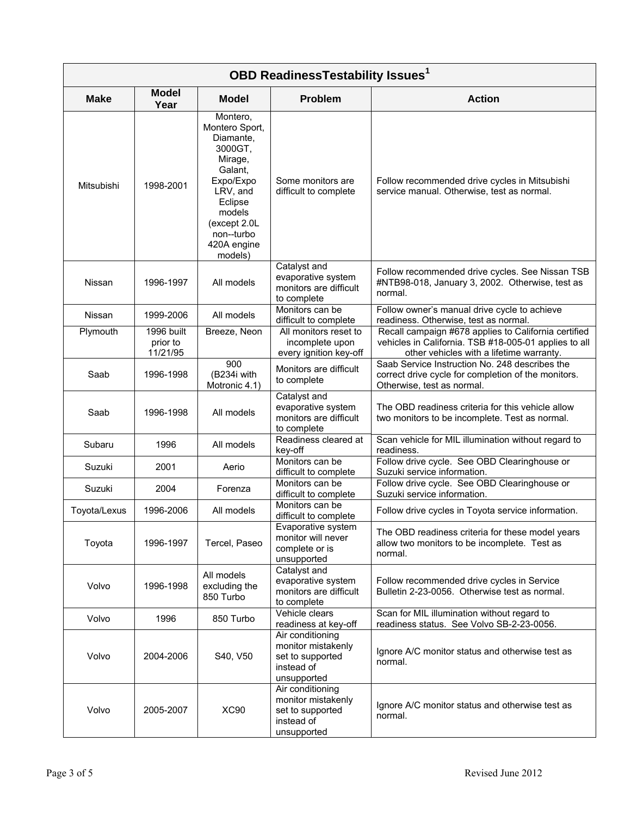| <b>OBD ReadinessTestability Issues<sup>1</sup></b> |                                    |                                                                                                                                                                                |                                                                                         |                                                                                                                                                           |  |
|----------------------------------------------------|------------------------------------|--------------------------------------------------------------------------------------------------------------------------------------------------------------------------------|-----------------------------------------------------------------------------------------|-----------------------------------------------------------------------------------------------------------------------------------------------------------|--|
| <b>Make</b>                                        | <b>Model</b><br>Year               | <b>Model</b>                                                                                                                                                                   | <b>Problem</b>                                                                          | <b>Action</b>                                                                                                                                             |  |
| Mitsubishi                                         | 1998-2001                          | Montero,<br>Montero Sport,<br>Diamante,<br>3000GT,<br>Mirage,<br>Galant.<br>Expo/Expo<br>LRV, and<br>Eclipse<br>models<br>(except 2.0L<br>non--turbo<br>420A engine<br>models) | Some monitors are<br>difficult to complete                                              | Follow recommended drive cycles in Mitsubishi<br>service manual. Otherwise, test as normal.                                                               |  |
| Nissan                                             | 1996-1997                          | All models                                                                                                                                                                     | Catalyst and<br>evaporative system<br>monitors are difficult<br>to complete             | Follow recommended drive cycles. See Nissan TSB<br>#NTB98-018, January 3, 2002. Otherwise, test as<br>normal.                                             |  |
| Nissan                                             | 1999-2006                          | All models                                                                                                                                                                     | Monitors can be<br>difficult to complete                                                | Follow owner's manual drive cycle to achieve<br>readiness. Otherwise, test as normal.                                                                     |  |
| Plymouth                                           | 1996 built<br>prior to<br>11/21/95 | Breeze, Neon                                                                                                                                                                   | All monitors reset to<br>incomplete upon<br>every ignition key-off                      | Recall campaign #678 applies to California certified<br>vehicles in California. TSB #18-005-01 applies to all<br>other vehicles with a lifetime warranty. |  |
| Saab                                               | 1996-1998                          | $\overline{900}$<br>(B234i with<br>Motronic 4.1)                                                                                                                               | Monitors are difficult<br>to complete                                                   | Saab Service Instruction No. 248 describes the<br>correct drive cycle for completion of the monitors.<br>Otherwise, test as normal.                       |  |
| Saab                                               | 1996-1998                          | All models                                                                                                                                                                     | Catalyst and<br>evaporative system<br>monitors are difficult<br>to complete             | The OBD readiness criteria for this vehicle allow<br>two monitors to be incomplete. Test as normal.                                                       |  |
| Subaru                                             | 1996                               | All models                                                                                                                                                                     | Readiness cleared at<br>key-off                                                         | Scan vehicle for MIL illumination without regard to<br>readiness.                                                                                         |  |
| Suzuki                                             | 2001                               | Aerio                                                                                                                                                                          | Monitors can be<br>difficult to complete                                                | Follow drive cycle. See OBD Clearinghouse or<br>Suzuki service information.                                                                               |  |
| Suzuki                                             | 2004                               | Forenza                                                                                                                                                                        | Monitors can be<br>difficult to complete                                                | Follow drive cycle. See OBD Clearinghouse or<br>Suzuki service information.                                                                               |  |
| Toyota/Lexus                                       | 1996-2006                          | All models                                                                                                                                                                     | Monitors can be<br>difficult to complete                                                | Follow drive cycles in Toyota service information.                                                                                                        |  |
| Toyota                                             | 1996-1997                          | Tercel, Paseo                                                                                                                                                                  | Evaporative system<br>monitor will never<br>complete or is<br>unsupported               | The OBD readiness criteria for these model years<br>allow two monitors to be incomplete. Test as<br>normal.                                               |  |
| Volvo                                              | 1996-1998                          | All models<br>excluding the<br>850 Turbo                                                                                                                                       | Catalyst and<br>evaporative system<br>monitors are difficult<br>to complete             | Follow recommended drive cycles in Service<br>Bulletin 2-23-0056. Otherwise test as normal.                                                               |  |
| Volvo                                              | 1996                               | 850 Turbo                                                                                                                                                                      | Vehicle clears<br>readiness at key-off                                                  | Scan for MIL illumination without regard to<br>readiness status. See Volvo SB-2-23-0056.                                                                  |  |
| Volvo                                              | 2004-2006                          | S40, V50                                                                                                                                                                       | Air conditioning<br>monitor mistakenly<br>set to supported<br>instead of<br>unsupported | Ignore A/C monitor status and otherwise test as<br>normal.                                                                                                |  |
| Volvo                                              | 2005-2007                          | <b>XC90</b>                                                                                                                                                                    | Air conditioning<br>monitor mistakenly<br>set to supported<br>instead of<br>unsupported | Ignore A/C monitor status and otherwise test as<br>normal.                                                                                                |  |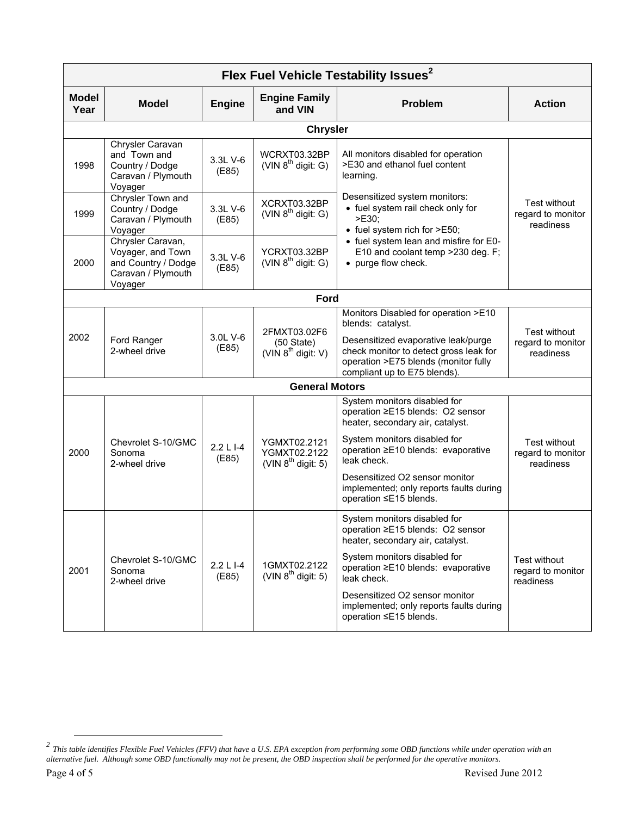| Flex Fuel Vehicle Testability Issues <sup>2</sup> |                                                                                                |                    |                                                              |                                                                                                                                                                                                                    |                                                       |  |  |
|---------------------------------------------------|------------------------------------------------------------------------------------------------|--------------------|--------------------------------------------------------------|--------------------------------------------------------------------------------------------------------------------------------------------------------------------------------------------------------------------|-------------------------------------------------------|--|--|
| <b>Model</b><br>Year                              | <b>Model</b>                                                                                   | <b>Engine</b>      | <b>Engine Family</b><br>and VIN                              | <b>Problem</b>                                                                                                                                                                                                     | <b>Action</b>                                         |  |  |
|                                                   | <b>Chrysler</b>                                                                                |                    |                                                              |                                                                                                                                                                                                                    |                                                       |  |  |
| 1998                                              | Chrysler Caravan<br>and Town and<br>Country / Dodge<br>Caravan / Plymouth<br>Voyager           | 3.3L V-6<br>(E85)  | WCRXT03.32BP<br>(VIN $8^{th}$ digit: G)                      | All monitors disabled for operation<br>>E30 and ethanol fuel content<br>learning.                                                                                                                                  |                                                       |  |  |
| 1999                                              | Chrysler Town and<br>Country / Dodge<br>Caravan / Plymouth<br>Voyager                          | 3.3L V-6<br>(E85)  | XCRXT03.32BP<br>(VIN $8^{th}$ digit: G)                      | Desensitized system monitors:<br>• fuel system rail check only for<br>>E30;<br>• fuel system rich for >E50;                                                                                                        | Test without<br>regard to monitor<br>readiness        |  |  |
| 2000                                              | Chrysler Caravan,<br>Voyager, and Town<br>and Country / Dodge<br>Caravan / Plymouth<br>Voyager | 3.3L V-6<br>(E85)  | YCRXT03.32BP<br>(VIN $8^{th}$ digit: G)                      | • fuel system lean and misfire for E0-<br>E10 and coolant temp > 230 deg. F;<br>• purge flow check.                                                                                                                |                                                       |  |  |
|                                                   |                                                                                                |                    | Ford                                                         |                                                                                                                                                                                                                    |                                                       |  |  |
| 2002                                              | Ford Ranger<br>2-wheel drive                                                                   | 3.0L V-6<br>(E85)  | 2FMXT03.02F6<br>$(50 \text{ State})$<br>(VIN $8th$ digit: V) | Monitors Disabled for operation >E10<br>blends: catalyst.<br>Desensitized evaporative leak/purge<br>check monitor to detect gross leak for<br>operation >E75 blends (monitor fully<br>compliant up to E75 blends). | <b>Test without</b><br>regard to monitor<br>readiness |  |  |
|                                                   | <b>General Motors</b>                                                                          |                    |                                                              |                                                                                                                                                                                                                    |                                                       |  |  |
|                                                   |                                                                                                |                    |                                                              | System monitors disabled for<br>operation ≥E15 blends: O2 sensor<br>heater, secondary air, catalyst.                                                                                                               |                                                       |  |  |
| 2000                                              | Chevrolet S-10/GMC<br>Sonoma<br>2-wheel drive                                                  | 2.2 L I-4<br>(E85) | YGMXT02.2121<br>YGMXT02.2122<br>(VIN $8^{th}$ digit: 5)      | System monitors disabled for<br>operation ≥E10 blends: evaporative<br>leak check.                                                                                                                                  | Test without<br>regard to monitor<br>readiness        |  |  |
|                                                   |                                                                                                |                    |                                                              | Desensitized O2 sensor monitor<br>implemented; only reports faults during<br>operation ≤E15 blends.                                                                                                                |                                                       |  |  |
|                                                   |                                                                                                |                    |                                                              | System monitors disabled for<br>operation ≥E15 blends: O2 sensor<br>heater, secondary air, catalyst.                                                                                                               |                                                       |  |  |
| 2001                                              | Chevrolet S-10/GMC<br>Sonoma<br>2-wheel drive                                                  | 2.2 L I-4<br>(E85) | 1GMXT02.2122<br>(VIN $8^{th}$ digit: 5)                      | System monitors disabled for<br>operation ≥E10 blends: evaporative<br>leak check.                                                                                                                                  | <b>Test without</b><br>regard to monitor<br>readiness |  |  |
|                                                   |                                                                                                |                    |                                                              | Desensitized O2 sensor monitor<br>implemented; only reports faults during<br>operation ≤E15 blends.                                                                                                                |                                                       |  |  |

 $\overline{a}$ 

*This table identifies Flexible Fuel Vehicles (FFV) that have a U.S. EPA exception from performing some OBD functions while under operation with an alternative fuel. Although some OBD functionally may not be present, the OBD inspection shall be performed for the operative monitors. 2*